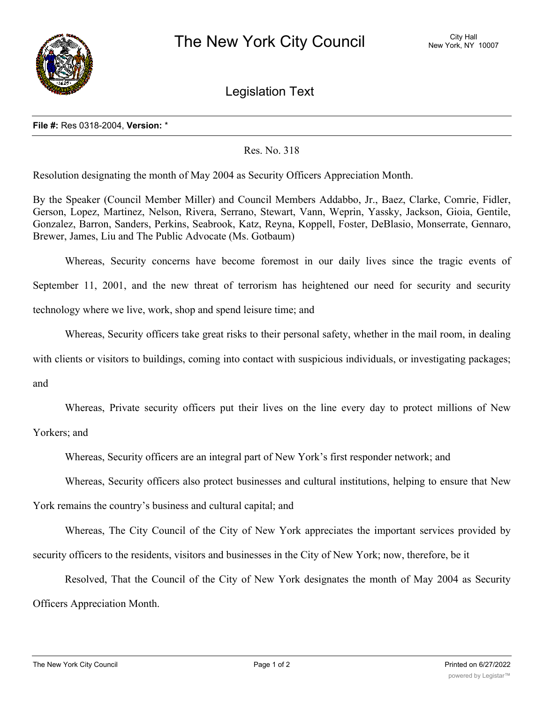

Legislation Text

## **File #:** Res 0318-2004, **Version:** \*

## Res. No. 318

Resolution designating the month of May 2004 as Security Officers Appreciation Month.

By the Speaker (Council Member Miller) and Council Members Addabbo, Jr., Baez, Clarke, Comrie, Fidler, Gerson, Lopez, Martinez, Nelson, Rivera, Serrano, Stewart, Vann, Weprin, Yassky, Jackson, Gioia, Gentile, Gonzalez, Barron, Sanders, Perkins, Seabrook, Katz, Reyna, Koppell, Foster, DeBlasio, Monserrate, Gennaro, Brewer, James, Liu and The Public Advocate (Ms. Gotbaum)

Whereas, Security concerns have become foremost in our daily lives since the tragic events of September 11, 2001, and the new threat of terrorism has heightened our need for security and security technology where we live, work, shop and spend leisure time; and

Whereas, Security officers take great risks to their personal safety, whether in the mail room, in dealing

with clients or visitors to buildings, coming into contact with suspicious individuals, or investigating packages;

and

Whereas, Private security officers put their lives on the line every day to protect millions of New

Yorkers; and

Whereas, Security officers are an integral part of New York's first responder network; and

Whereas, Security officers also protect businesses and cultural institutions, helping to ensure that New

York remains the country's business and cultural capital; and

Whereas, The City Council of the City of New York appreciates the important services provided by security officers to the residents, visitors and businesses in the City of New York; now, therefore, be it

Resolved, That the Council of the City of New York designates the month of May 2004 as Security Officers Appreciation Month.